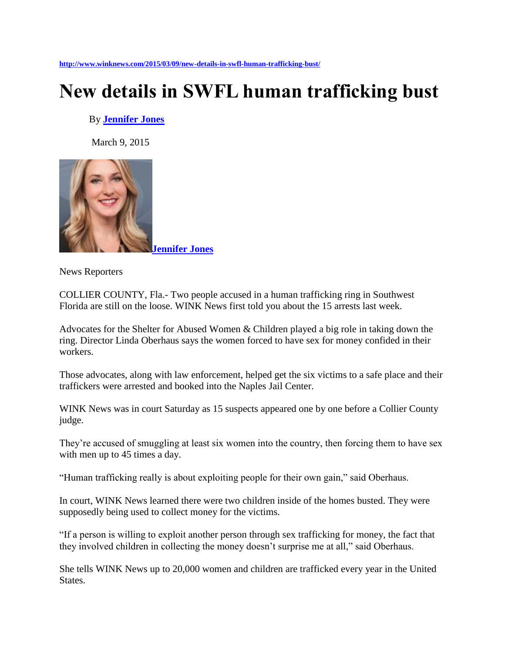**<http://www.winknews.com/2015/03/09/new-details-in-swfl-human-trafficking-bust/>**

## **New details in SWFL human trafficking bust**

## By **[Jennifer Jones](http://www.winknews.com/author/jennifer-jones/)**

March 9, 2015



News Reporters

COLLIER COUNTY, Fla.- Two people accused in a human trafficking ring in Southwest Florida are still on the loose. WINK News first told you about the 15 arrests last week.

Advocates for the Shelter for Abused Women & Children played a big role in taking down the ring. Director Linda Oberhaus says the women forced to have sex for money confided in their workers.

Those advocates, along with law enforcement, helped get the six victims to a safe place and their traffickers were arrested and booked into the Naples Jail Center.

WINK News was in court Saturday as 15 suspects appeared one by one before a Collier County judge.

They're accused of smuggling at least six women into the country, then forcing them to have sex with men up to 45 times a day.

"Human trafficking really is about exploiting people for their own gain," said Oberhaus.

In court, WINK News learned there were two children inside of the homes busted. They were supposedly being used to collect money for the victims.

"If a person is willing to exploit another person through sex trafficking for money, the fact that they involved children in collecting the money doesn't surprise me at all," said Oberhaus.

She tells WINK News up to 20,000 women and children are trafficked every year in the United States.